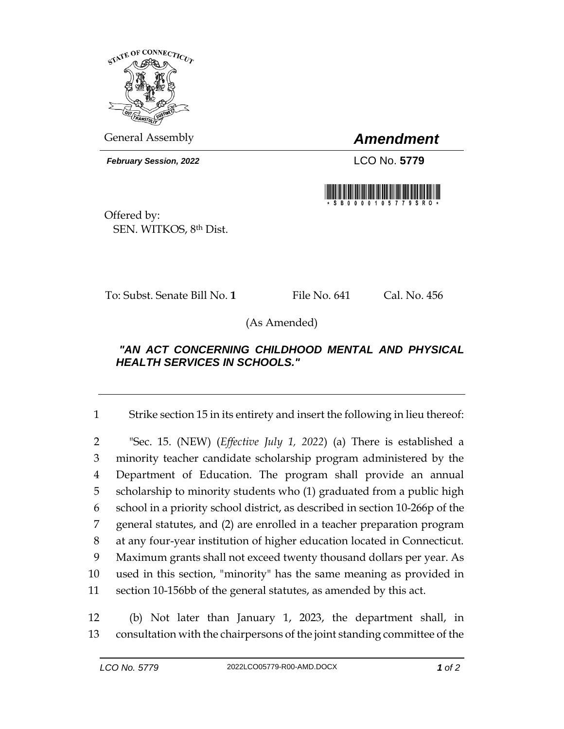

General Assembly *Amendment*

*February Session, 2022* LCO No. **5779**



Offered by: SEN. WITKOS, 8th Dist.

To: Subst. Senate Bill No. **1** File No. 641 Cal. No. 456

(As Amended)

## *"AN ACT CONCERNING CHILDHOOD MENTAL AND PHYSICAL HEALTH SERVICES IN SCHOOLS."*

1 Strike section 15 in its entirety and insert the following in lieu thereof:

 "Sec. 15. (NEW) (*Effective July 1, 2022*) (a) There is established a minority teacher candidate scholarship program administered by the Department of Education. The program shall provide an annual scholarship to minority students who (1) graduated from a public high school in a priority school district, as described in section 10-266p of the general statutes, and (2) are enrolled in a teacher preparation program at any four-year institution of higher education located in Connecticut. Maximum grants shall not exceed twenty thousand dollars per year. As used in this section, "minority" has the same meaning as provided in section 10-156bb of the general statutes, as amended by this act.

12 (b) Not later than January 1, 2023, the department shall, in 13 consultation with the chairpersons of the joint standing committee of the